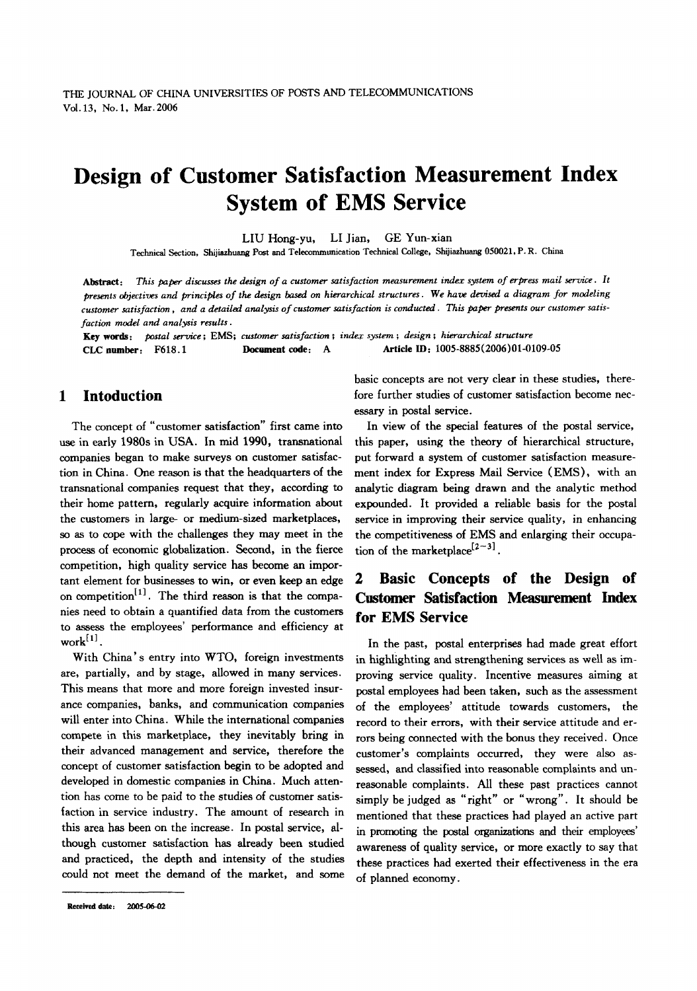# **Design of Customer Satisfaction Measurement Index System of EMS Service**

LIU Hong-yu, LI Jian, GE Yun-xian

Technical Section, Shijiazhuang Post **and** Telecommunication Technical **college,** Shijiazhuang **050021,** P. R. China

Abstract: This paper discusses the design of a customer satisfaction measurement index system of erpress mail service. It *presents objectives and principles of the design based on hierarchical structures. We have devised a diagram for modeling customer satisfaction, and a detailed analysis of customer satisfaction* **is** *conducted. This paper presents our customer satisfaction nwdel and analysis results.* 

Key words: postal service; EMS; customer satisfaction; index system; design; hierarchical structure **CLC** number: **F618.1 Document** *code:* **A Article ID: l005-8885(2006)01-0109-05** 

## **1 Intoduction**

The concept of "customer satisfaction" first came into use in early **1980s** in USA. In mid **1990,** transnational companies began to make surveys on customer satisfaction in China. One reason is that the headquarters of the transnational companies request that they, according to their home pattern, regularly acquire information about the customers in large- or medium-sized marketplaces, *so* **as** to cope with the challenges they may meet in the process of economic globalization. Second, in the fierce competition, high quality service has become an important element for businesses to win, or even keep an edge on competition<sup>[1]</sup>. The third reason is that the companies need to obtain a quantified data from the customers to assess the employees' performance and efficiency at  $work<sup>[1]</sup>$ .

With China's entry into WTO, foreign investments are, partially, and by stage, allowed in many services. This means that more and more foreign invested insurance companies, banks, and communication companies will enter into China. While the international companies compete in this marketplace, they inevitably bring in their advanced management and service, therefore the concept of customer satisfaction begin to be adopted and developed in domestic companies in China. Much attention has come to be paid to the studies of customer satisfaction in service industry. The amount of research in this area has been on the increase. In postal service, although customer satisfaction has already been studied and practiced, the depth and intensity of the studies could not meet the demand of the market, and some basic concepts are not very clear in these studies, therefore further studies of customer satisfaction become necessary in postal service.

In view of the special features of the postal service, this paper, using the theory of hierarchical structure, put forward a system of customer satisfaction measurement index for Express Mail Service (EMS), with an analytic diagram being drawn and the analytic method expounded. It provided a reliable basis for the postal service in improving their service quality, in enhancing the competitiveness of EMS and enlarging their occupation of the marketplace<sup>[2-3]</sup>.

## **2 Basic Concepts of the Design of Customer Satisfaction Measurement Index for EMS Service**

In the past, postal enterprises had made great effort in highlighting and strengthening services as well as improving service quality. Incentive measures aiming at postal employees had been taken, such as the assessment of the employees' attitude towards customers, the record to their errors, with their service attitude and errors being connected with the bonus they received. Once customer's complaints occurred, they were also assessed, and classified into reasonable complaints and unreasonable complaints. All these past practices cannot simply be judged as "right" or "wrong". It should be mentioned that these practices had played an active part in promoting the **postal organizations** and their employees' awareness of quality service, or more exactly to say that these practices had exerted their effectiveness in the era of planned economy.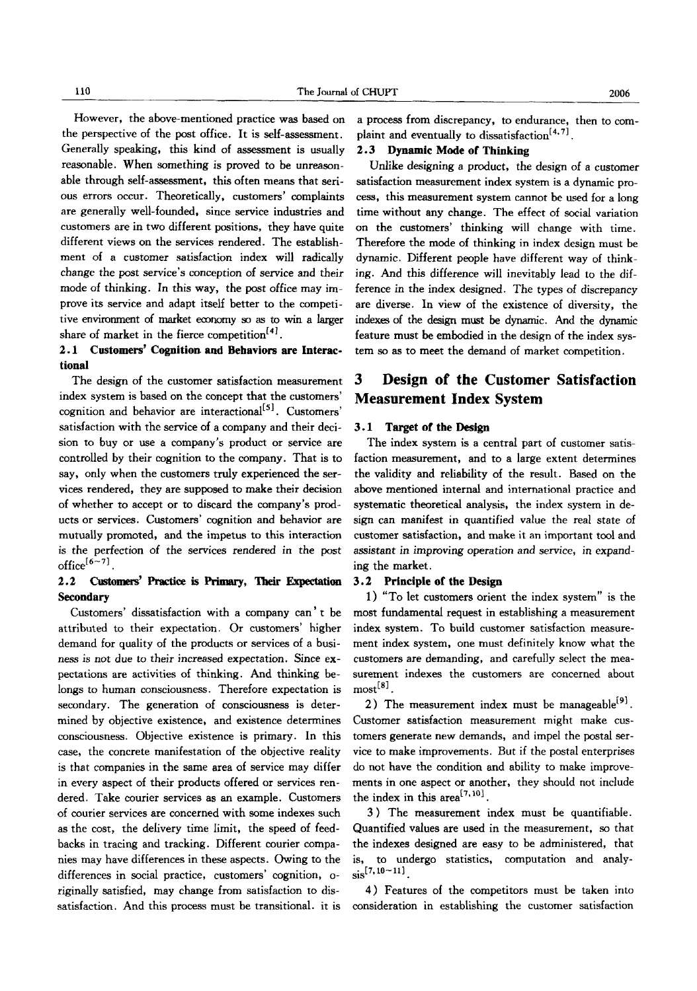However, the above-mentioned practice was based on the perspective of the post office. It is self-assessment. Generally speaking, this kind of assessment is usually reasonable. When something is proved to be unreasonable through self-assessment, this often means that serious errors occur. Theoretically, customers' complaints are generally well-founded, since service industries and customers are in two different positions, they have quite different views on the services rendered. The establishment of a customer satisfaction index will radically change the post service's conception of service and their mode of thinking. In this way, the post office may improve its service and adapt itself better to the competitive environment of market economy *so* **as** to win a larger share of market in the fierce competition<sup>[4]</sup>.

### **2.1 Customers' Cognition. and Behaviors are Interactional**

The design of the customer satisfaction measurement index system is based on the concept that the customers' cognition and behavior are interactional<sup>[5]</sup>. Customers' satisfaction with the service of a company and their decision to buy or use a company's product or service are controlled by their cognition to the company. That is to say, only when the customers truly experienced the services rendered, they are supposed to make their decision of whether to accept or to discard the company's products or services. Customers' cognition and behavior are mutually promoted, and the impetus to this interaction is the perfection of the services rendered in the post office $[6-7]$ .

#### **2.2 Secondary**  Customers' Practice is Primary, Their Expectation

Customers' dissatisfaction with a company can' t be attributed to their expectation. Or customers' higher demand for quality of the products or services of a business is not due *to* their increased expectation. Since expectations are activities of thinking. And thinking belongs to human consciousness. Therefore expectation is secondary. The generation of consciousness is determined by objective existence, and existence determines consciousness. Objective existence is primary. In this case, the concrete manifestation of the objective reality **is** that companies in the same area of service may differ in every aspect of their products offered or services rendered. Take courier services as an example. Customers of courier services are concerned with some indexes such as the cost, the delivery time limit, the speed of feedbacks in tracing and tracking. Different courier companies may have differences in these aspects. Owing to the differences in social practice, customers' cognition, originally satisfied, may change from satisfaction to dissatisfaction. And this process must be transitional. it is a process from discrepancy, to endurance, then to complaint and eventually to dissatisfaction<sup>[4,7]</sup>.

### **2.3 Dynamic Mode of Thinking**

Unlike designing a product, the design of a customer satisfaction measurement index system is a dynamic process, this measurement system cannot be used for a long time without any change. The effect of social variation on the customers' thinking will change with time. Therefore the mode of thinking in index design must be dynamic. Different people have different way of thinking. And this difference will inevitably lead to the difference in the index designed. The types of discrepancy are diverse. In view of the existence of diversity, the indexes of the design must be dynamic. And the dynamic feature must be embodied in the design of the index system *so* as to meet the demand of market competition.

#### **3 Measurement Index System Design of the Customer Satisfaction**

#### **3.1 Target of the Design**

The index system **is** a central part of customer satisfaction measurement, and to a large extent determines the validity and reliability of the result. Based on the above mentioned internal and international practice and systematic theoretical analysis, the index system in design can manifest in quantified value the real state of customer satisfaction, and make it **an** important tool and assistant in improving operation and service, in expanding the market.

#### **3.2 Principle of the Design**

**1)** "To let customers orient the index system'' is the most fundamental request in establishing a measurement index system. To build customer satisfaction measurement index system, one must definitely know what the customers are demanding, and carefully select the measurement indexes the customers are concerned about  $most^{[8]}$ .

2) The measurement index must be manageable<sup>[9]</sup>. Customer satisfaction measurement might make customers generate new demands, and impel the postal service to make improvements. But if the postal enterprises do not have the condition and ability to make improvements in one aspect or another, they should not include the index in this area<sup>[7,10]</sup>.

**3)** The measurement index must be quantifiable. Quantified values are used in the measurement, *so* that the indexes designed are easy to be administered, that is, to undergo statistics, computation and analy $sis^{[7,10-11]}$ .

**4)** Features of the competitors must be taken into consideration in establishing the customer satisfaction